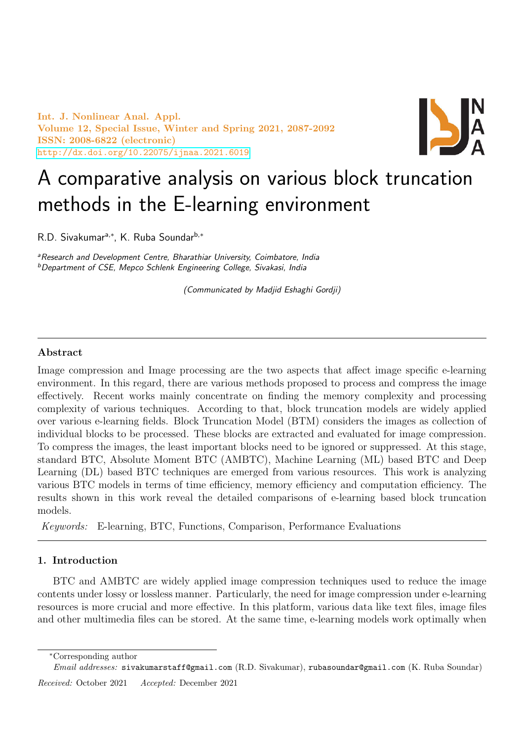Int. J. Nonlinear Anal. Appl. Volume 12, Special Issue, Winter and Spring 2021, 2087-2092 ISSN: 2008-6822 (electronic) <http://dx.doi.org/10.22075/ijnaa.2021.6019>



# A comparative analysis on various block truncation methods in the E-learning environment

R.D. Sivakumar<sup>a,\*</sup>, K. Ruba Soundar<sup>b,\*</sup>

a Research and Development Centre, Bharathiar University, Coimbatore, India <sup>b</sup>Department of CSE, Mepco Schlenk Engineering College, Sivakasi, India

(Communicated by Madjid Eshaghi Gordji)

# Abstract

Image compression and Image processing are the two aspects that affect image specific e-learning environment. In this regard, there are various methods proposed to process and compress the image effectively. Recent works mainly concentrate on finding the memory complexity and processing complexity of various techniques. According to that, block truncation models are widely applied over various e-learning fields. Block Truncation Model (BTM) considers the images as collection of individual blocks to be processed. These blocks are extracted and evaluated for image compression. To compress the images, the least important blocks need to be ignored or suppressed. At this stage, standard BTC, Absolute Moment BTC (AMBTC), Machine Learning (ML) based BTC and Deep Learning (DL) based BTC techniques are emerged from various resources. This work is analyzing various BTC models in terms of time efficiency, memory efficiency and computation efficiency. The results shown in this work reveal the detailed comparisons of e-learning based block truncation models.

Keywords: E-learning, BTC, Functions, Comparison, Performance Evaluations

## 1. Introduction

BTC and AMBTC are widely applied image compression techniques used to reduce the image contents under lossy or lossless manner. Particularly, the need for image compression under e-learning resources is more crucial and more effective. In this platform, various data like text files, image files and other multimedia files can be stored. At the same time, e-learning models work optimally when

Received: October 2021 Accepted: December 2021

<sup>∗</sup>Corresponding author

Email addresses: sivakumarstaff@gmail.com (R.D. Sivakumar), rubasoundar@gmail.com (K. Ruba Soundar)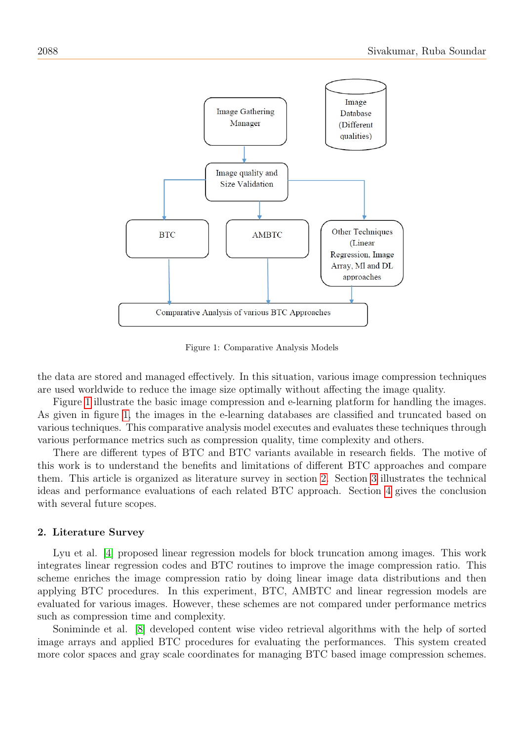

<span id="page-1-0"></span>Figure 1: Comparative Analysis Models

the data are stored and managed effectively. In this situation, various image compression techniques are used worldwide to reduce the image size optimally without affecting the image quality.

Figure [1](#page-1-0) illustrate the basic image compression and e-learning platform for handling the images. As given in figure [1,](#page-1-0) the images in the e-learning databases are classified and truncated based on various techniques. This comparative analysis model executes and evaluates these techniques through various performance metrics such as compression quality, time complexity and others.

There are different types of BTC and BTC variants available in research fields. The motive of this work is to understand the benefits and limitations of different BTC approaches and compare them. This article is organized as literature survey in section [2.](#page-1-1) Section [3](#page-2-0) illustrates the technical ideas and performance evaluations of each related BTC approach. Section [4](#page-4-0) gives the conclusion with several future scopes.

## <span id="page-1-1"></span>2. Literature Survey

Lyu et al. [\[4\]](#page-4-1) proposed linear regression models for block truncation among images. This work integrates linear regression codes and BTC routines to improve the image compression ratio. This scheme enriches the image compression ratio by doing linear image data distributions and then applying BTC procedures. In this experiment, BTC, AMBTC and linear regression models are evaluated for various images. However, these schemes are not compared under performance metrics such as compression time and complexity.

Soniminde et al. [\[8\]](#page-5-0) developed content wise video retrieval algorithms with the help of sorted image arrays and applied BTC procedures for evaluating the performances. This system created more color spaces and gray scale coordinates for managing BTC based image compression schemes.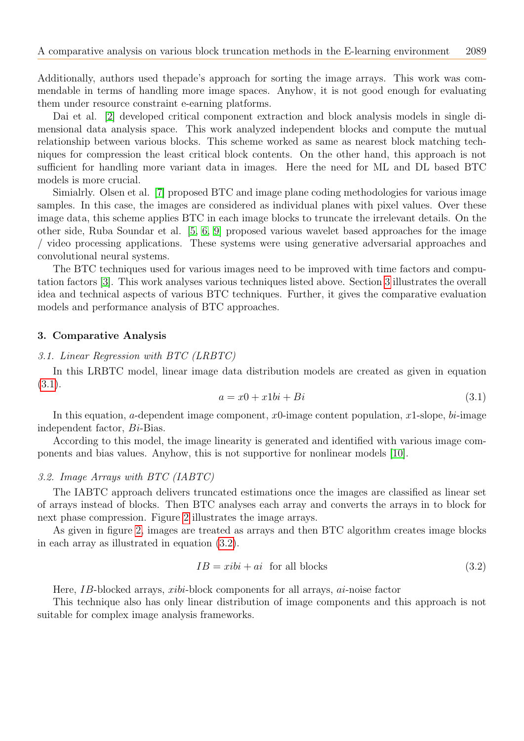Additionally, authors used thepade's approach for sorting the image arrays. This work was commendable in terms of handling more image spaces. Anyhow, it is not good enough for evaluating them under resource constraint e-earning platforms.

Dai et al. [\[2\]](#page-4-2) developed critical component extraction and block analysis models in single dimensional data analysis space. This work analyzed independent blocks and compute the mutual relationship between various blocks. This scheme worked as same as nearest block matching techniques for compression the least critical block contents. On the other hand, this approach is not sufficient for handling more variant data in images. Here the need for ML and DL based BTC models is more crucial.

Simialrly. Olsen et al. [\[7\]](#page-5-1) proposed BTC and image plane coding methodologies for various image samples. In this case, the images are considered as individual planes with pixel values. Over these image data, this scheme applies BTC in each image blocks to truncate the irrelevant details. On the other side, Ruba Soundar et al. [\[5,](#page-4-3) [6,](#page-4-4) [9\]](#page-5-2) proposed various wavelet based approaches for the image / video processing applications. These systems were using generative adversarial approaches and convolutional neural systems.

The BTC techniques used for various images need to be improved with time factors and computation factors [\[3\]](#page-4-5). This work analyses various techniques listed above. Section [3](#page-2-0) illustrates the overall idea and technical aspects of various BTC techniques. Further, it gives the comparative evaluation models and performance analysis of BTC approaches.

#### <span id="page-2-0"></span>3. Comparative Analysis

## 3.1. Linear Regression with BTC (LRBTC)

In this LRBTC model, linear image data distribution models are created as given in equation [\(3.1\)](#page-2-1).

<span id="page-2-1"></span>
$$
a = x0 + x1bi + Bi \tag{3.1}
$$

In this equation, a-dependent image component,  $x_0$ -image content population,  $x_1$ -slope, bi-image independent factor, Bi-Bias.

According to this model, the image linearity is generated and identified with various image components and bias values. Anyhow, this is not supportive for nonlinear models [\[10\]](#page-5-3).

# 3.2. Image Arrays with BTC (IABTC)

The IABTC approach delivers truncated estimations once the images are classified as linear set of arrays instead of blocks. Then BTC analyses each array and converts the arrays in to block for next phase compression. Figure [2](#page-3-0) illustrates the image arrays.

As given in figure [2,](#page-3-0) images are treated as arrays and then BTC algorithm creates image blocks in each array as illustrated in equation [\(3.2\)](#page-2-2).

<span id="page-2-2"></span>
$$
IB = xibi + ai \text{ for all blocks} \tag{3.2}
$$

Here, IB-blocked arrays, xibi-block components for all arrays, ai-noise factor

This technique also has only linear distribution of image components and this approach is not suitable for complex image analysis frameworks.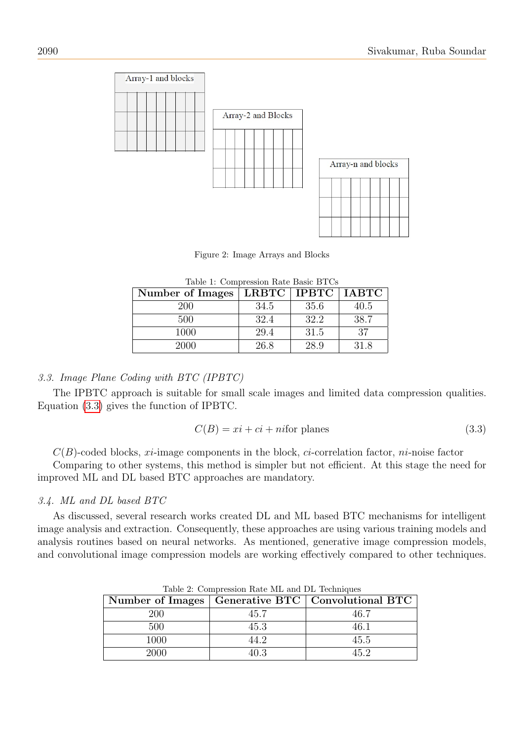

<span id="page-3-2"></span><span id="page-3-0"></span>Figure 2: Image Arrays and Blocks

| Number of Images | LRBTC   IPBTC |      | <b>IABTC</b> |
|------------------|---------------|------|--------------|
| 200              | 34.5          | 35.6 | 40.5         |
| 500              | 32.4          | 32.2 | 38.7         |
| 1000             | 29.4          | 31.5 | 37           |
| 2000             | 26.8          | 28.9 | 31.8         |

Table 1: Compression Rate Basic BTCs

## 3.3. Image Plane Coding with BTC (IPBTC)

The IPBTC approach is suitable for small scale images and limited data compression qualities. Equation [\(3.3\)](#page-3-1) gives the function of IPBTC.

<span id="page-3-1"></span>
$$
C(B) = xi + ci + nifor planes
$$
\n(3.3)

 $C(B)$ -coded blocks, xi-image components in the block, ci-correlation factor, ni-noise factor

Comparing to other systems, this method is simpler but not efficient. At this stage the need for improved ML and DL based BTC approaches are mandatory.

## 3.4. ML and DL based BTC

As discussed, several research works created DL and ML based BTC mechanisms for intelligent image analysis and extraction. Consequently, these approaches are using various training models and analysis routines based on neural networks. As mentioned, generative image compression models, and convolutional image compression models are working effectively compared to other techniques.

|            |      | Number of Images   Generative BTC   Convolutional BTC |  |  |
|------------|------|-------------------------------------------------------|--|--|
| <b>200</b> | 45.7 | 46 7                                                  |  |  |
| 500.       | 45.3 | 16 1                                                  |  |  |
| 1000       | 44 2 | 45.5                                                  |  |  |
| 2000       | 40.3 | 45 2                                                  |  |  |

<span id="page-3-3"></span>Table 2: Compression Rate ML and DL Techniques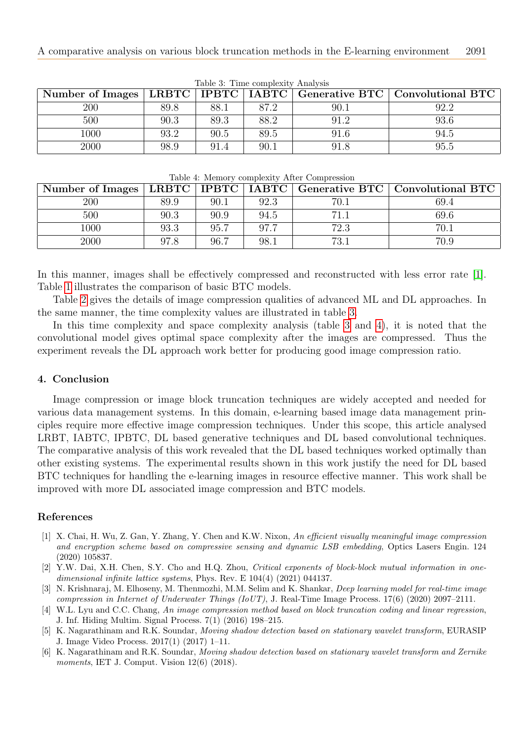|          |      |      |      |      | Number of Images   LRBTC   IPBTC   IABTC   Generative BTC   Convolutional BTC |
|----------|------|------|------|------|-------------------------------------------------------------------------------|
| 200      | 89.8 | 88.1 | 87.2 | 90.1 | 92.2                                                                          |
| 500      | 90.3 | 89.3 | 88.2 | 91.2 | 93.6                                                                          |
| $1000\,$ | 93.2 | 90.5 | 89.5 | 91.6 | 94.5                                                                          |
| 2000     | 98.9 | 91.4 | 90.1 | 91.8 | 95.5                                                                          |

<span id="page-4-7"></span>Table 3: Time complexity Analysis

<span id="page-4-8"></span>

|  |  |  |  | Table 4: Memory complexity After Compression |
|--|--|--|--|----------------------------------------------|
|--|--|--|--|----------------------------------------------|

| Number of Images | LRBTC   IPBTC   IABTC |      |      |      | Generative BTC   Convolutional BTC |
|------------------|-----------------------|------|------|------|------------------------------------|
| 200              | 89.9                  | 90.1 | 92.3 | 70.1 | 69.4                               |
| 500              | 90.3                  | 90.9 | 94.5 |      | 69.6                               |
| $1000\,$         | 93.3                  | 95.7 | 97.7 | 72.3 | 70.1                               |
| 2000             | 97.8                  | 96.7 | 98.  | 73.1 | 70.9                               |

In this manner, images shall be effectively compressed and reconstructed with less error rate [\[1\]](#page-4-6). Table [1](#page-3-2) illustrates the comparison of basic BTC models.

Table [2](#page-3-3) gives the details of image compression qualities of advanced ML and DL approaches. In the same manner, the time complexity values are illustrated in table [3.](#page-4-7)

In this time complexity and space complexity analysis (table [3](#page-4-7) and [4\)](#page-4-8), it is noted that the convolutional model gives optimal space complexity after the images are compressed. Thus the experiment reveals the DL approach work better for producing good image compression ratio.

# <span id="page-4-0"></span>4. Conclusion

Image compression or image block truncation techniques are widely accepted and needed for various data management systems. In this domain, e-learning based image data management principles require more effective image compression techniques. Under this scope, this article analysed LRBT, IABTC, IPBTC, DL based generative techniques and DL based convolutional techniques. The comparative analysis of this work revealed that the DL based techniques worked optimally than other existing systems. The experimental results shown in this work justify the need for DL based BTC techniques for handling the e-learning images in resource effective manner. This work shall be improved with more DL associated image compression and BTC models.

# References

- <span id="page-4-6"></span>[1] X. Chai, H. Wu, Z. Gan, Y. Zhang, Y. Chen and K.W. Nixon, An efficient visually meaningful image compression and encryption scheme based on compressive sensing and dynamic LSB embedding, Optics Lasers Engin. 124 (2020) 105837.
- <span id="page-4-2"></span>[2] Y.W. Dai, X.H. Chen, S.Y. Cho and H.Q. Zhou, Critical exponents of block-block mutual information in onedimensional infinite lattice systems, Phys. Rev. E 104(4) (2021) 044137.
- <span id="page-4-5"></span>[3] N. Krishnaraj, M. Elhoseny, M. Thenmozhi, M.M. Selim and K. Shankar, Deep learning model for real-time image compression in Internet of Underwater Things (IoUT), J. Real-Time Image Process. 17(6) (2020) 2097–2111.
- <span id="page-4-1"></span>[4] W.L. Lyu and C.C. Chang, An image compression method based on block truncation coding and linear regression, J. Inf. Hiding Multim. Signal Process. 7(1) (2016) 198–215.
- <span id="page-4-3"></span>[5] K. Nagarathinam and R.K. Soundar, Moving shadow detection based on stationary wavelet transform, EURASIP J. Image Video Process. 2017(1) (2017) 1–11.
- <span id="page-4-4"></span>[6] K. Nagarathinam and R.K. Soundar, Moving shadow detection based on stationary wavelet transform and Zernike moments, IET J. Comput. Vision 12(6) (2018).